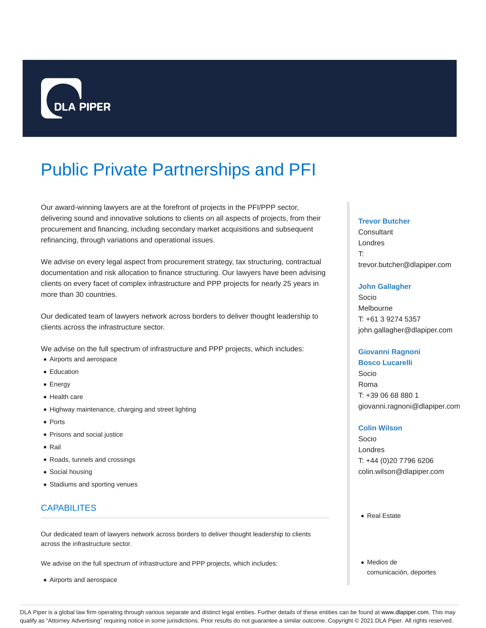

# Public Private Partnerships and PFI

Our award-winning lawyers are at the forefront of projects in the PFI/PPP sector, delivering sound and innovative solutions to clients on all aspects of projects, from their procurement and financing, including secondary market acquisitions and subsequent refinancing, through variations and operational issues.

We advise on every legal aspect from procurement strategy, tax structuring, contractual documentation and risk allocation to finance structuring. Our lawyers have been advising clients on every facet of complex infrastructure and PPP projects for nearly 25 years in more than 30 countries.

Our dedicated team of lawyers network across borders to deliver thought leadership to clients across the infrastructure sector.

We advise on the full spectrum of infrastructure and PPP projects, which includes:

- Airports and aerospace
- **•** Education
- Energy
- Health care
- Highway maintenance, charging and street lighting
- Ports
- Prisons and social justice
- Rail
- Roads, tunnels and crossings
- Social housing
- Stadiums and sporting venues

# **CAPABILITES**

Our dedicated team of lawyers network across borders to deliver thought leadership to clients across the infrastructure sector.

We advise on the full spectrum of infrastructure and PPP projects, which includes:

Airports and aerospace

#### **Trevor Butcher**

**Consultant** Londres T: trevor.butcher@dlapiper.com

#### **John Gallagher**

Socio Melbourne T: +61 3 9274 5357 john.gallagher@dlapiper.com

#### **Giovanni Ragnoni**

**Bosco Lucarelli** Socio Roma T: +39 06 68 880 1 giovanni.ragnoni@dlapiper.com

#### **Colin Wilson**

Socio Londres T: +44 (0)20 7796 6206 colin.wilson@dlapiper.com

• Real Estate

Medios de comunicación, deportes

DLA Piper is a global law firm operating through various separate and distinct legal entities. Further details of these entities can be found at www.dlapiper.com. This may qualify as "Attorney Advertising" requiring notice in some jurisdictions. Prior results do not guarantee a similar outcome. Copyright @ 2021 DLA Piper. All rights reserved.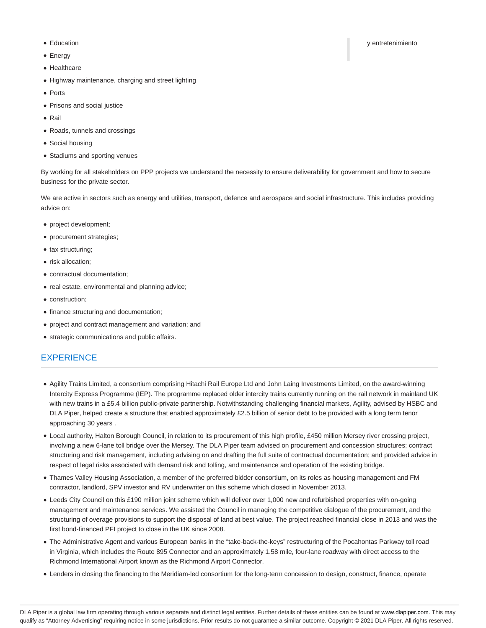- 
- Energy
- Healthcare
- Highway maintenance, charging and street lighting
- Ports
- Prisons and social justice
- $\bullet$  Rail
- Roads, tunnels and crossings
- Social housing
- Stadiums and sporting venues

By working for all stakeholders on PPP projects we understand the necessity to ensure deliverability for government and how to secure business for the private sector.

We are active in sectors such as energy and utilities, transport, defence and aerospace and social infrastructure. This includes providing advice on:

- project development;
- procurement strategies;
- tax structuring;
- risk allocation;
- contractual documentation;
- real estate, environmental and planning advice;
- construction;
- finance structuring and documentation;
- project and contract management and variation; and
- strategic communications and public affairs.

## **EXPERIENCE**

- Agility Trains Limited, a consortium comprising Hitachi Rail Europe Ltd and John Laing Investments Limited, on the award-winning Intercity Express Programme (IEP). The programme replaced older intercity trains currently running on the rail network in mainland UK with new trains in a £5.4 billion public-private partnership. Notwithstanding challenging financial markets, Agility, advised by HSBC and DLA Piper, helped create a structure that enabled approximately £2.5 billion of senior debt to be provided with a long term tenor approaching 30 years .
- Local authority, Halton Borough Council, in relation to its procurement of this high profile, £450 million Mersey river crossing project, involving a new 6-lane toll bridge over the Mersey. The DLA Piper team advised on procurement and concession structures; contract structuring and risk management, including advising on and drafting the full suite of contractual documentation; and provided advice in respect of legal risks associated with demand risk and tolling, and maintenance and operation of the existing bridge.
- Thames Valley Housing Association, a member of the preferred bidder consortium, on its roles as housing management and FM contractor, landlord, SPV investor and RV underwriter on this scheme which closed in November 2013.
- Leeds City Council on this £190 million joint scheme which will deliver over 1,000 new and refurbished properties with on-going management and maintenance services. We assisted the Council in managing the competitive dialogue of the procurement, and the structuring of overage provisions to support the disposal of land at best value. The project reached financial close in 2013 and was the first bond-financed PFI project to close in the UK since 2008.
- The Administrative Agent and various European banks in the "take-back-the-keys" restructuring of the Pocahontas Parkway toll road in Virginia, which includes the Route 895 Connector and an approximately 1.58 mile, four-lane roadway with direct access to the Richmond International Airport known as the Richmond Airport Connector.
- Lenders in closing the financing to the Meridiam-led consortium for the long-term concession to design, construct, finance, operate